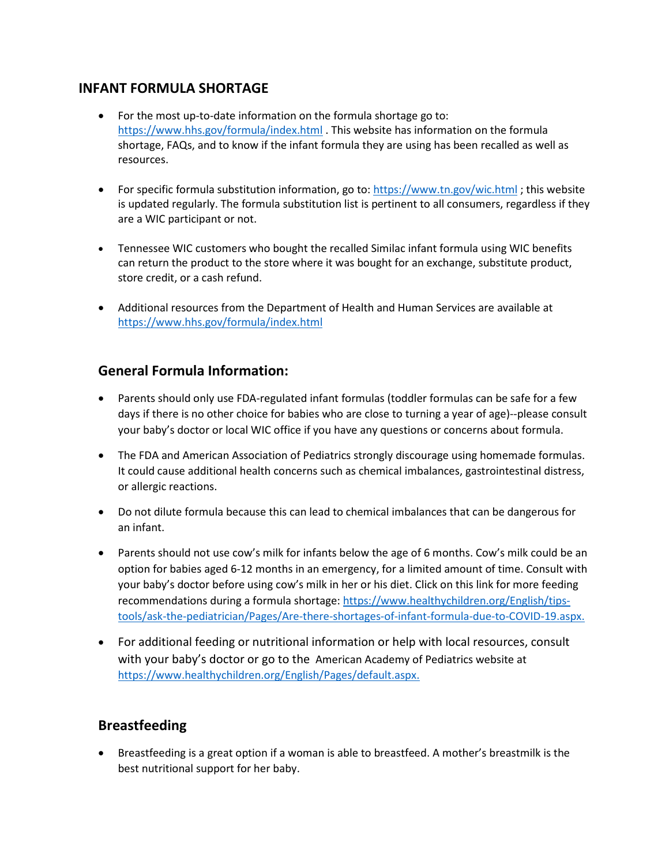## **INFANT FORMULA SHORTAGE**

- For the most up-to-date information on the formula shortage go to: <https://www.hhs.gov/formula/index.html> . This website has information on the formula shortage, FAQs, and to know if the infant formula they are using has been recalled as well as resources.
- For specific formula substitution information, go to: [https://www.tn.gov/wic.html](https://www.tn.gov/health/health-program-areas/fhw/wic.html); this website is updated regularly. The formula substitution list is pertinent to all consumers, regardless if they are a WIC participant or not.
- Tennessee WIC customers who bought the recalled Similac infant formula using WIC benefits can return the product to the store where it was bought for an exchange, substitute product, store credit, or a cash refund.
- Additional resources from the Department of Health and Human Services are available at <https://www.hhs.gov/formula/index.html>

## **General Formula Information:**

- Parents should only use FDA-regulated infant formulas (toddler formulas can be safe for a few days if there is no other choice for babies who are close to turning a year of age)--please consult your baby's doctor or local WIC office if you have any questions or concerns about formula.
- The FDA and American Association of Pediatrics strongly discourage using homemade formulas. It could cause additional health concerns such as chemical imbalances, gastrointestinal distress, or allergic reactions.
- Do not dilute formula because this can lead to chemical imbalances that can be dangerous for an infant.
- Parents should not use cow's milk for infants below the age of 6 months. Cow's milk could be an option for babies aged 6-12 months in an emergency, for a limited amount of time. Consult with your baby's doctor before using cow's milk in her or his diet. Click on this link for more feeding recommendations during a formula shortage: [https://www.healthychildren.org/English/tips](https://www.healthychildren.org/English/tips-tools/ask-the-pediatrician/Pages/Are-there-shortages-of-infant-formula-due-to-COVID-19.aspx)[tools/ask-the-pediatrician/Pages/Are-there-shortages-of-infant-formula-due-to-COVID-19.aspx.](https://www.healthychildren.org/English/tips-tools/ask-the-pediatrician/Pages/Are-there-shortages-of-infant-formula-due-to-COVID-19.aspx)
- For additional feeding or nutritional information or help with local resources, consult with your baby's doctor or go to the American Academy of Pediatrics website at [https://www.healthychildren.org/English/Pages/default.aspx.](https://www.healthychildren.org/English/Pages/default.aspx)

## **Breastfeeding**

• Breastfeeding is a great option if a woman is able to breastfeed. A mother's breastmilk is the best nutritional support for her baby.